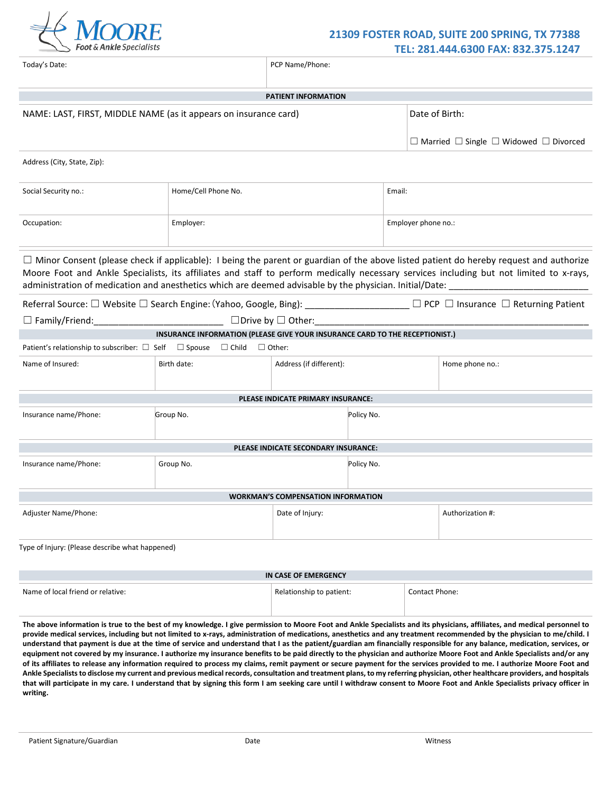

| Today's Date:                                                                              | PCP Name/Phone:                                                              |                                           |                 |                     |                                                                                                                                                                                                                                                                                                                                                                                                                                     |  |  |  |  |
|--------------------------------------------------------------------------------------------|------------------------------------------------------------------------------|-------------------------------------------|-----------------|---------------------|-------------------------------------------------------------------------------------------------------------------------------------------------------------------------------------------------------------------------------------------------------------------------------------------------------------------------------------------------------------------------------------------------------------------------------------|--|--|--|--|
|                                                                                            |                                                                              | <b>PATIENT INFORMATION</b>                |                 |                     |                                                                                                                                                                                                                                                                                                                                                                                                                                     |  |  |  |  |
| NAME: LAST, FIRST, MIDDLE NAME (as it appears on insurance card)                           |                                                                              |                                           |                 |                     | Date of Birth:                                                                                                                                                                                                                                                                                                                                                                                                                      |  |  |  |  |
|                                                                                            |                                                                              |                                           |                 |                     | $\Box$ Married $\Box$ Single $\Box$ Widowed $\Box$ Divorced                                                                                                                                                                                                                                                                                                                                                                         |  |  |  |  |
| Address (City, State, Zip):                                                                |                                                                              |                                           |                 |                     |                                                                                                                                                                                                                                                                                                                                                                                                                                     |  |  |  |  |
| Social Security no.:                                                                       | Home/Cell Phone No.                                                          |                                           |                 | Email:              |                                                                                                                                                                                                                                                                                                                                                                                                                                     |  |  |  |  |
| Occupation:                                                                                | Employer:                                                                    |                                           |                 | Employer phone no.: |                                                                                                                                                                                                                                                                                                                                                                                                                                     |  |  |  |  |
|                                                                                            |                                                                              |                                           |                 |                     | $\Box$ Minor Consent (please check if applicable): I being the parent or guardian of the above listed patient do hereby request and authorize<br>Moore Foot and Ankle Specialists, its affiliates and staff to perform medically necessary services including but not limited to x-rays,<br>administration of medication and anesthetics which are deemed advisable by the physician. Initial/Date: _______________________________ |  |  |  |  |
|                                                                                            |                                                                              |                                           |                 |                     | Referral Source: □ Website □ Search Engine: (Yahoo, Google, Bing): __________________ □ PCP □ Insurance □ Returning Patient                                                                                                                                                                                                                                                                                                         |  |  |  |  |
| $\Box$ Family/Friend: $\Box$ Drive by $\Box$ Other: $\Box$ Other:                          |                                                                              |                                           |                 |                     |                                                                                                                                                                                                                                                                                                                                                                                                                                     |  |  |  |  |
| Patient's relationship to subscriber: $\Box$ Self $\Box$ Spouse $\Box$ Child $\Box$ Other: | INSURANCE INFORMATION (PLEASE GIVE YOUR INSURANCE CARD TO THE RECEPTIONIST.) |                                           |                 |                     |                                                                                                                                                                                                                                                                                                                                                                                                                                     |  |  |  |  |
| Name of Insured:                                                                           | Birth date:                                                                  | Address (if different):                   | Home phone no.: |                     |                                                                                                                                                                                                                                                                                                                                                                                                                                     |  |  |  |  |
|                                                                                            |                                                                              | PLEASE INDICATE PRIMARY INSURANCE:        |                 |                     |                                                                                                                                                                                                                                                                                                                                                                                                                                     |  |  |  |  |
| Insurance name/Phone:                                                                      | Group No.                                                                    | Policy No.                                |                 |                     |                                                                                                                                                                                                                                                                                                                                                                                                                                     |  |  |  |  |
|                                                                                            |                                                                              | PLEASE INDICATE SECONDARY INSURANCE:      |                 |                     |                                                                                                                                                                                                                                                                                                                                                                                                                                     |  |  |  |  |
| Insurance name/Phone:                                                                      | Group No.                                                                    |                                           |                 |                     |                                                                                                                                                                                                                                                                                                                                                                                                                                     |  |  |  |  |
|                                                                                            |                                                                              | <b>WORKMAN'S COMPENSATION INFORMATION</b> |                 |                     |                                                                                                                                                                                                                                                                                                                                                                                                                                     |  |  |  |  |
| Adjuster Name/Phone:                                                                       |                                                                              | Date of Injury:                           |                 |                     | Authorization #:                                                                                                                                                                                                                                                                                                                                                                                                                    |  |  |  |  |
| Type of Injury: (Please describe what happened)                                            |                                                                              |                                           |                 |                     |                                                                                                                                                                                                                                                                                                                                                                                                                                     |  |  |  |  |
|                                                                                            |                                                                              | IN CASE OF EMERGENCY                      |                 |                     |                                                                                                                                                                                                                                                                                                                                                                                                                                     |  |  |  |  |
| Name of local friend or relative:                                                          | Relationship to patient:                                                     |                                           |                 | Contact Phone:      |                                                                                                                                                                                                                                                                                                                                                                                                                                     |  |  |  |  |

The above information is true to the best of my knowledge. I give permission to Moore Foot and Ankle Specialists and its physicians, affiliates, and medical personnel to **provide medical services, including but not limited to x-rays, administration of medications, anesthetics and any treatment recommended by the physician to me/child. I understand that payment is due at the time of service and understand that I as the patient/guardian am financially responsible for any balance, medication, services, or equipment not covered by my insurance. I authorize my insurance benefits to be paid directly to the physician and authorize Moore Foot and Ankle Specialists and/or any of its affiliates to release any information required to process my claims, remit payment or secure payment for the services provided to me. I authorize Moore Foot and Ankle Specialiststo disclose my current and previous medical records, consultation and treatment plans, to my referring physician, other healthcare providers, and hospitals that will participate in my care. I understand that by signing this form I am seeking care until I withdraw consent to Moore Foot and Ankle Specialists privacy officer in writing.**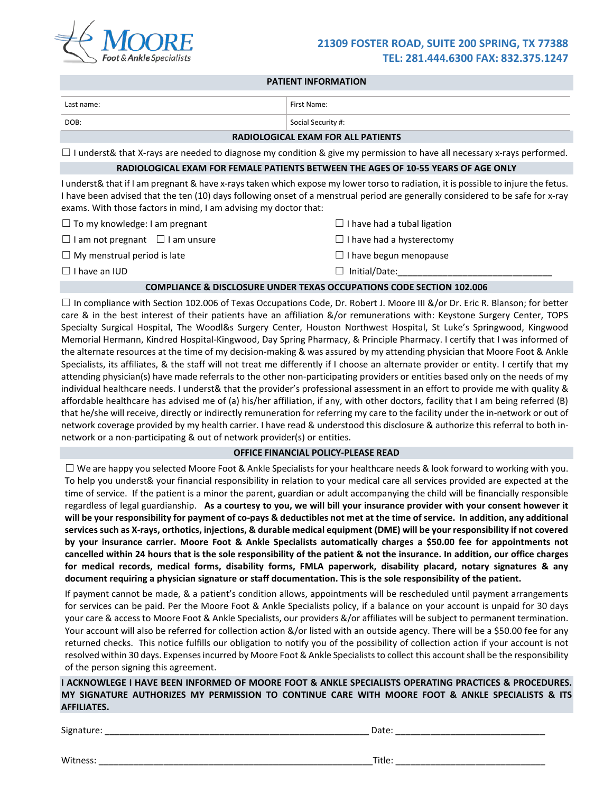

#### **PATIENT INFORMATION**

| Last name:                                                       | First Name:                                                                                                                                                                                                                                                          |
|------------------------------------------------------------------|----------------------------------------------------------------------------------------------------------------------------------------------------------------------------------------------------------------------------------------------------------------------|
| DOB:                                                             | Social Security #:                                                                                                                                                                                                                                                   |
|                                                                  | <b>RADIOLOGICAL EXAM FOR ALL PATIENTS</b>                                                                                                                                                                                                                            |
|                                                                  | $\Box$ I underst& that X-rays are needed to diagnose my condition & give my permission to have all necessary x-rays performed.                                                                                                                                       |
|                                                                  | RADIOLOGICAL EXAM FOR FEMALE PATIENTS BETWEEN THE AGES OF 10-55 YEARS OF AGE ONLY                                                                                                                                                                                    |
| exams. With those factors in mind, I am advising my doctor that: | I underst& that if I am pregnant & have x-rays taken which expose my lower torso to radiation, it is possible to injure the fetus.<br>I have been advised that the ten (10) days following onset of a menstrual period are generally considered to be safe for x-ray |
| $\Box$ To my knowledge: I am pregnant                            | $\Box$ I have had a tubal ligation                                                                                                                                                                                                                                   |
| $\Box$ I am not pregnant $\Box$ I am unsure                      | $\Box$ I have had a hysterectomy                                                                                                                                                                                                                                     |
| $\Box$ My menstrual period is late                               | $\Box$ I have begun menopause                                                                                                                                                                                                                                        |
| $\Box$ I have an IUD                                             | Initial/Date:                                                                                                                                                                                                                                                        |
|                                                                  | <b>COMPLIANCE &amp; DISCLOSURE UNDER TEXAS OCCUPATIONS CODE SECTION 102.006</b>                                                                                                                                                                                      |

 $\Box$  In compliance with Section 102.006 of Texas Occupations Code, Dr. Robert J. Moore III &/or Dr. Eric R. Blanson; for better care & in the best interest of their patients have an affiliation &/or remunerations with: Keystone Surgery Center, TOPS Specialty Surgical Hospital, The Woodl&s Surgery Center, Houston Northwest Hospital, St Luke's Springwood, Kingwood Memorial Hermann, Kindred Hospital-Kingwood, Day Spring Pharmacy, & Principle Pharmacy. I certify that I was informed of the alternate resources at the time of my decision-making & was assured by my attending physician that Moore Foot & Ankle Specialists, its affiliates, & the staff will not treat me differently if I choose an alternate provider or entity. I certify that my attending physician(s) have made referrals to the other non-participating providers or entities based only on the needs of my individual healthcare needs. I underst& that the provider's professional assessment in an effort to provide me with quality & affordable healthcare has advised me of (a) his/her affiliation, if any, with other doctors, facility that I am being referred (B) that he/she will receive, directly or indirectly remuneration for referring my care to the facility under the in-network or out of network coverage provided by my health carrier. I have read & understood this disclosure & authorize this referral to both innetwork or a non-participating & out of network provider(s) or entities.

## **OFFICE FINANCIAL POLICY-PLEASE READ**

 $\Box$  We are happy you selected Moore Foot & Ankle Specialists for your healthcare needs & look forward to working with you. To help you underst& your financial responsibility in relation to your medical care all services provided are expected at the time of service. If the patient is a minor the parent, guardian or adult accompanying the child will be financially responsible regardless of legal guardianship. **As a courtesy to you, we will bill your insurance provider with your consent however it will be your responsibility for payment of co-pays & deductibles not met at the time of service. In addition, any additional services such as X-rays, orthotics, injections, & durable medical equipment (DME) will be your responsibility if not covered by your insurance carrier. Moore Foot & Ankle Specialists automatically charges a \$50.00 fee for appointments not cancelled within 24 hours that is the sole responsibility of the patient & not the insurance. In addition, our office charges for medical records, medical forms, disability forms, FMLA paperwork, disability placard, notary signatures & any document requiring a physician signature or staff documentation. This is the sole responsibility of the patient.**

If payment cannot be made, & a patient's condition allows, appointments will be rescheduled until payment arrangements for services can be paid. Per the Moore Foot & Ankle Specialists policy, if a balance on your account is unpaid for 30 days your care & access to Moore Foot & Ankle Specialists, our providers &/or affiliates will be subject to permanent termination. Your account will also be referred for collection action &/or listed with an outside agency. There will be a \$50.00 fee for any returned checks. This notice fulfills our obligation to notify you of the possibility of collection action if your account is not resolved within 30 days. Expenses incurred by Moore Foot & Ankle Specialiststo collect this account shall be the responsibility of the person signing this agreement.

**I ACKNOWLEGE I HAVE BEEN INFORMED OF MOORE FOOT & ANKLE SPECIALISTS OPERATING PRACTICES & PROCEDURES. MY SIGNATURE AUTHORIZES MY PERMISSION TO CONTINUE CARE WITH MOORE FOOT & ANKLE SPECIALISTS & ITS AFFILIATES.**

| Signature: | Dale. |  |
|------------|-------|--|
|            |       |  |

Witness: \_\_\_\_\_\_\_\_\_\_\_\_\_\_\_\_\_\_\_\_\_\_\_\_\_\_\_\_\_\_\_\_\_\_\_\_\_\_\_\_\_\_\_\_\_\_\_\_\_\_\_\_\_\_\_Title: \_\_\_\_\_\_\_\_\_\_\_\_\_\_\_\_\_\_\_\_\_\_\_\_\_\_\_\_\_\_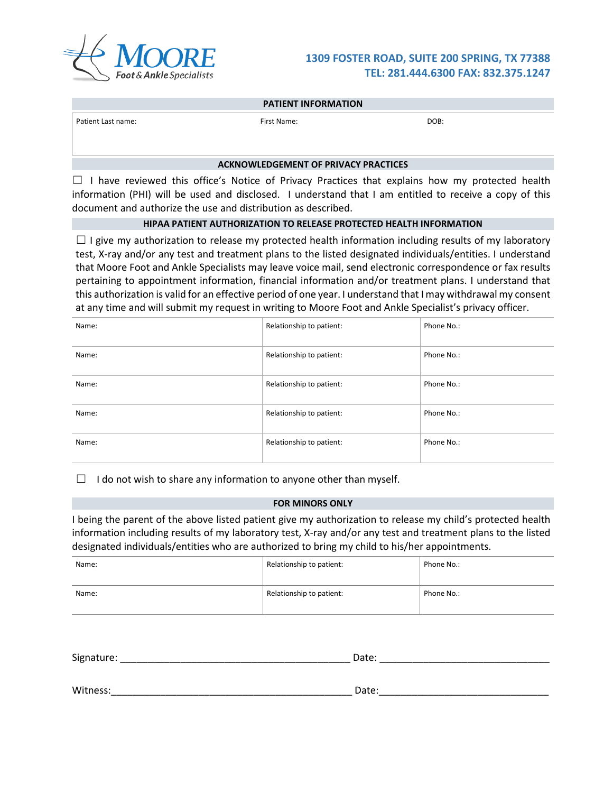

|                    | <b>PATIENT INFORMATION</b> |      |
|--------------------|----------------------------|------|
| Patient Last name: | First Name:                | DOB: |
|                    |                            |      |

## **ACKNOWLEDGEMENT OF PRIVACY PRACTICES**

 $\Box$  I have reviewed this office's Notice of Privacy Practices that explains how my protected health information (PHI) will be used and disclosed. I understand that I am entitled to receive a copy of this document and authorize the use and distribution as described.

## **HIPAA PATIENT AUTHORIZATION TO RELEASE PROTECTED HEALTH INFORMATION**

 $\Box$  I give my authorization to release my protected health information including results of my laboratory test, X-ray and/or any test and treatment plans to the listed designated individuals/entities. I understand that Moore Foot and Ankle Specialists may leave voice mail, send electronic correspondence or fax results pertaining to appointment information, financial information and/or treatment plans. I understand that this authorization is valid for an effective period of one year. I understand that I may withdrawal my consent at any time and will submit my request in writing to Moore Foot and Ankle Specialist's privacy officer.

| Name: | Relationship to patient: | Phone No.: |
|-------|--------------------------|------------|
| Name: | Relationship to patient: | Phone No.: |
| Name: | Relationship to patient: | Phone No.: |
| Name: | Relationship to patient: | Phone No.: |
| Name: | Relationship to patient: | Phone No.: |

 $\Box$  I do not wish to share any information to anyone other than myself.

#### **FOR MINORS ONLY**

I being the parent of the above listed patient give my authorization to release my child's protected health information including results of my laboratory test, X-ray and/or any test and treatment plans to the listed designated individuals/entities who are authorized to bring my child to his/her appointments.

| Name: | Relationship to patient: | Phone No.: |
|-------|--------------------------|------------|
| Name: | Relationship to patient: | Phone No.: |

| Signature: | Date: |  |
|------------|-------|--|
|            |       |  |
|            |       |  |
| Witness:   | Date: |  |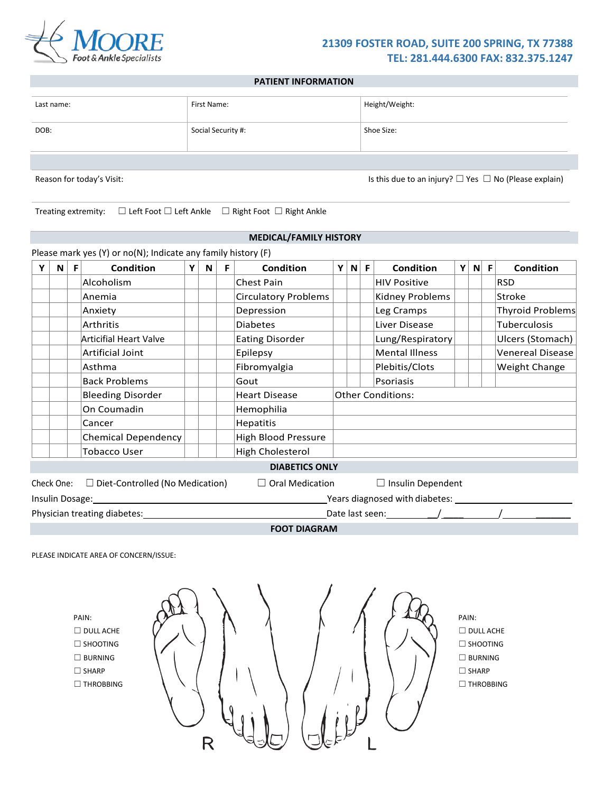

## **PATIENT INFORMATION**

| Last name: | First Name:        | Height/Weight: |
|------------|--------------------|----------------|
| DOB:       | Social Security #: | Shoe Size:     |
|            |                    |                |

**MEDICAL/FAMILY HISTORY**

Reason for today's Visit: Is this due to an injury? □ Yes □ No (Please explain)

Treating extremity: ☐ Left Foot ☐ Left Ankle ☐ Right Foot ☐ Right Ankle

|   |    | Please mark yes (Y) or no(N); Indicate any family history (F) |   |   |    |                             |    |              |    |                                      |   |       |                         |
|---|----|---------------------------------------------------------------|---|---|----|-----------------------------|----|--------------|----|--------------------------------------|---|-------|-------------------------|
| N | F. | <b>Condition</b>                                              | Y | N | F. | Condition                   | ΥI | $\mathsf{N}$ | F. | Condition                            | Y | $N$ F | Condition               |
|   |    | Alcoholism                                                    |   |   |    | Chest Pain                  |    |              |    | <b>HIV Positive</b>                  |   |       | <b>RSD</b>              |
|   |    | Anemia                                                        |   |   |    | <b>Circulatory Problems</b> |    |              |    | Kidney Problems                      |   |       | Stroke                  |
|   |    | Anxiety                                                       |   |   |    | Depression                  |    |              |    | Leg Cramps                           |   |       | <b>Thyroid Problems</b> |
|   |    | <b>Arthritis</b>                                              |   |   |    | <b>Diabetes</b>             |    |              |    | Liver Disease                        |   |       | Tuberculosis            |
|   |    | <b>Articifial Heart Valve</b>                                 |   |   |    | <b>Eating Disorder</b>      |    |              |    | Lung/Respiratory                     |   |       | Ulcers (Stomach)        |
|   |    | Artificial Joint                                              |   |   |    | Epilepsy                    |    |              |    | <b>Mental Illness</b>                |   |       | <b>Venereal Disease</b> |
|   |    | Asthma                                                        |   |   |    | Fibromyalgia                |    |              |    | Plebitis/Clots                       |   |       | Weight Change           |
|   |    | <b>Back Problems</b>                                          |   |   |    | Gout                        |    |              |    | Psoriasis                            |   |       |                         |
|   |    | <b>Bleeding Disorder</b>                                      |   |   |    | <b>Heart Disease</b>        |    |              |    | <b>Other Conditions:</b>             |   |       |                         |
|   |    | On Coumadin                                                   |   |   |    | Hemophilia                  |    |              |    |                                      |   |       |                         |
|   |    | Cancer                                                        |   |   |    | <b>Hepatitis</b>            |    |              |    |                                      |   |       |                         |
|   |    | <b>Chemical Dependency</b>                                    |   |   |    | High Blood Pressure         |    |              |    |                                      |   |       |                         |
|   |    | <b>Tobacco User</b>                                           |   |   |    | <b>High Cholesterol</b>     |    |              |    |                                      |   |       |                         |
|   |    |                                                               |   |   |    | <b>DIABETICS ONLY</b>       |    |              |    |                                      |   |       |                         |
|   |    | Check One: $\Box$ Diet-Controlled (No Medication)             |   |   |    | $\Box$ Oral Medication      |    |              |    | $\Box$ Insulin Dependent             |   |       |                         |
|   |    | Insulin Dosage: _______________                               |   |   |    |                             |    |              |    | Years diagnosed with diabetes: _____ |   |       |                         |
|   |    | Physician treating diabetes:                                  |   |   |    |                             |    |              |    |                                      |   |       |                         |

**FOOT DIAGRAM**

PLEASE INDICATE AREA OF CONCERN/ISSUE:

PAIN: ☐ DULL ACHE

☐ SHOOTING ☐ BURNING

☐ SHARP

☐ THROBBING



PAIN:  $\Box$  DULL ACHE ☐ SHOOTING ☐ BURNING ☐ SHARP ☐ THROBBING